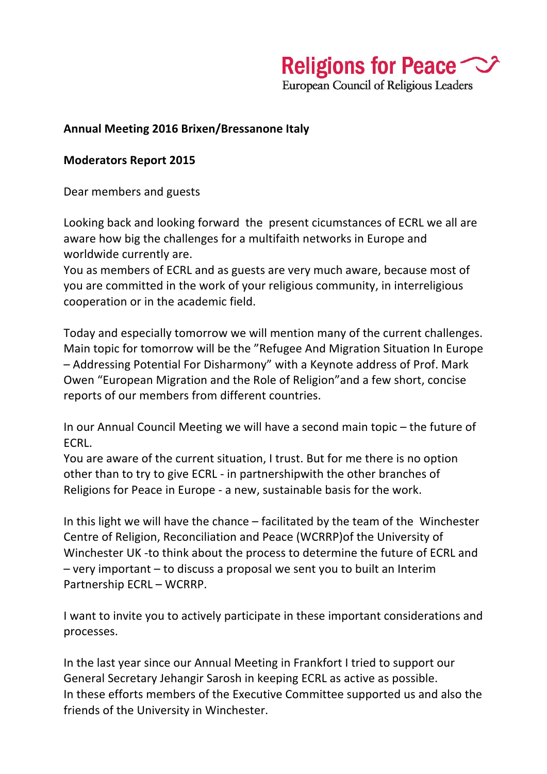Religions for Peace  $\sim$ 

**European Council of Religious Leaders** 

#### **Annual Meeting 2016 Brixen/Bressanone Italy**

#### **Moderators Report 2015**

Dear members and guests

Looking back and looking forward the present cicumstances of ECRL we all are aware how big the challenges for a multifaith networks in Europe and worldwide currently are.

You as members of ECRL and as guests are very much aware, because most of you are committed in the work of your religious community, in interreligious cooperation or in the academic field.

Today and especially tomorrow we will mention many of the current challenges. Main topic for tomorrow will be the "Refugee And Migration Situation In Europe - Addressing Potential For Disharmony" with a Keynote address of Prof. Mark Owen "European Migration and the Role of Religion" and a few short, concise reports of our members from different countries.

In our Annual Council Meeting we will have a second main topic  $-$  the future of ECRL.

You are aware of the current situation, I trust. But for me there is no option other than to try to give ECRL - in partnershipwith the other branches of Religions for Peace in Europe - a new, sustainable basis for the work.

In this light we will have the chance  $-$  facilitated by the team of the Winchester Centre of Religion, Reconciliation and Peace (WCRRP) of the University of Winchester UK -to think about the process to determine the future of ECRL and  $-$  very important  $-$  to discuss a proposal we sent you to built an Interim Partnership ECRL – WCRRP.

I want to invite you to actively participate in these important considerations and processes.

In the last year since our Annual Meeting in Frankfort I tried to support our General Secretary Jehangir Sarosh in keeping ECRL as active as possible. In these efforts members of the Executive Committee supported us and also the friends of the University in Winchester.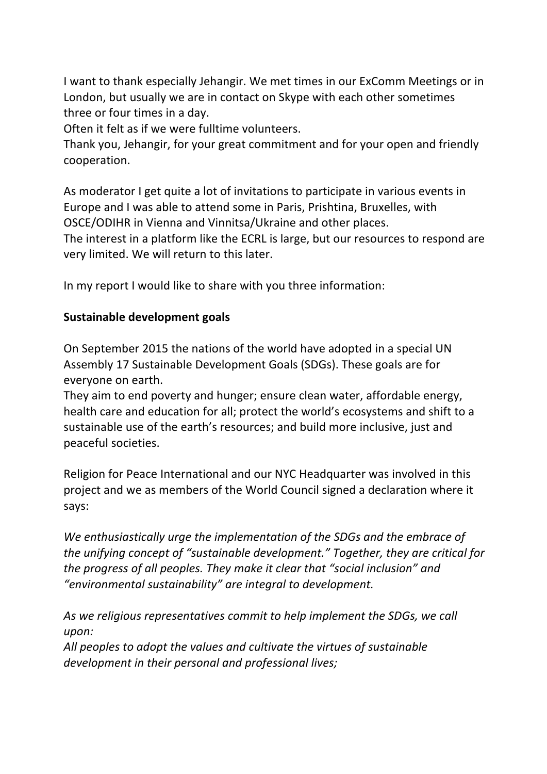I want to thank especially Jehangir. We met times in our ExComm Meetings or in London, but usually we are in contact on Skype with each other sometimes three or four times in a day.

Often it felt as if we were fulltime volunteers.

Thank you, Jehangir, for your great commitment and for your open and friendly cooperation.

As moderator I get quite a lot of invitations to participate in various events in Europe and I was able to attend some in Paris, Prishtina, Bruxelles, with OSCE/ODIHR in Vienna and Vinnitsa/Ukraine and other places.

The interest in a platform like the ECRL is large, but our resources to respond are very limited. We will return to this later.

In my report I would like to share with you three information:

## **Sustainable development goals**

On September 2015 the nations of the world have adopted in a special UN Assembly 17 Sustainable Development Goals (SDGs). These goals are for everyone on earth.

They aim to end poverty and hunger; ensure clean water, affordable energy, health care and education for all; protect the world's ecosystems and shift to a sustainable use of the earth's resources; and build more inclusive, just and peaceful societies.

Religion for Peace International and our NYC Headquarter was involved in this project and we as members of the World Council signed a declaration where it says: 

We enthusiastically urge the implementation of the SDGs and the embrace of *the unifying concept of "sustainable development."* Together, they are critical for *the progress of all peoples. They make it clear that "social inclusion" and* "environmental sustainability" are integral to development.

As we religious representatives commit to help implement the SDGs, we call *upon:* 

All peoples to adopt the values and cultivate the virtues of sustainable development in their personal and professional lives;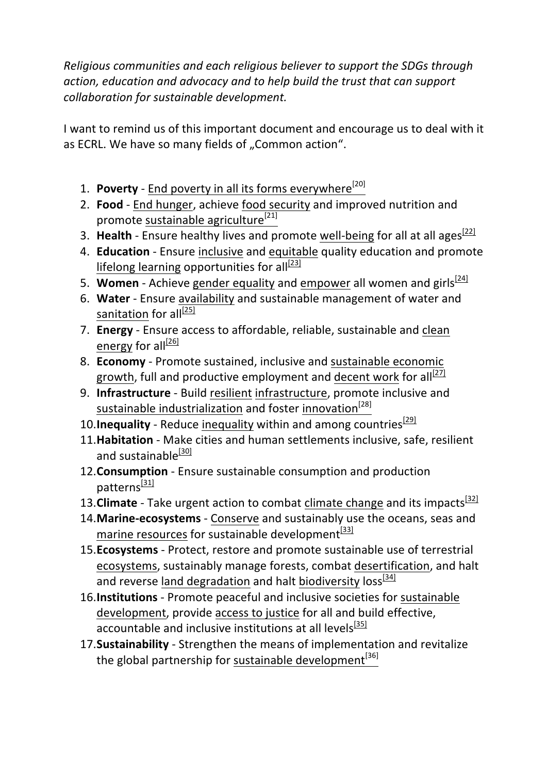*Religious communities and each religious believer to support the SDGs through* action, education and advocacy and to help build the trust that can support *collaboration for sustainable development.*

I want to remind us of this important document and encourage us to deal with it as ECRL. We have so many fields of "Common action".

- 1. **Poverty End poverty in all its forms everywhere**<sup>[20]</sup>
- 2. **Food** End hunger, achieve food security and improved nutrition and promote sustainable agriculture<sup>[21]</sup>
- 3. **Health** Ensure healthy lives and promote well-being for all at all ages<sup>[22]</sup>
- 4. **Education** Ensure inclusive and equitable quality education and promote lifelong learning opportunities for all<sup>[23]</sup>
- 5. **Women** Achieve gender equality and empower all women and girls<sup>[24]</sup>
- 6. Water Ensure availability and sustainable management of water and sanitation for all<sup>[25]</sup>
- 7. **Energy** Ensure access to affordable, reliable, sustainable and clean energy for all $\frac{[26]}{[26]}$
- 8. **Economy** Promote sustained, inclusive and sustainable economic growth, full and productive employment and decent work for all<sup>[27]</sup>
- 9. **Infrastructure** Build resilient infrastructure, promote inclusive and sustainable industrialization and foster innovation<sup>[28]</sup>
- 10. **Inequality** Reduce inequality within and among countries  $\frac{291}{29}$
- 11. Habitation Make cities and human settlements inclusive, safe, resilient and sustainable<sup>[30]</sup>
- 12. **Consumption** Ensure sustainable consumption and production patterns $^{[31]}$
- 13. **Climate** Take urgent action to combat climate change and its impacts<sup>[32]</sup>
- 14. Marine-ecosystems Conserve and sustainably use the oceans, seas and marine resources for sustainable development $^{[33]}$
- 15. **Ecosystems** Protect, restore and promote sustainable use of terrestrial ecosystems, sustainably manage forests, combat desertification, and halt and reverse land degradation and halt biodiversity loss  $[34]$
- 16. Institutions Promote peaceful and inclusive societies for sustainable development, provide access to justice for all and build effective, accountable and inclusive institutions at all levels<sup>[35]</sup>
- 17. Sustainability Strengthen the means of implementation and revitalize the global partnership for sustainable development<sup>[36]</sup>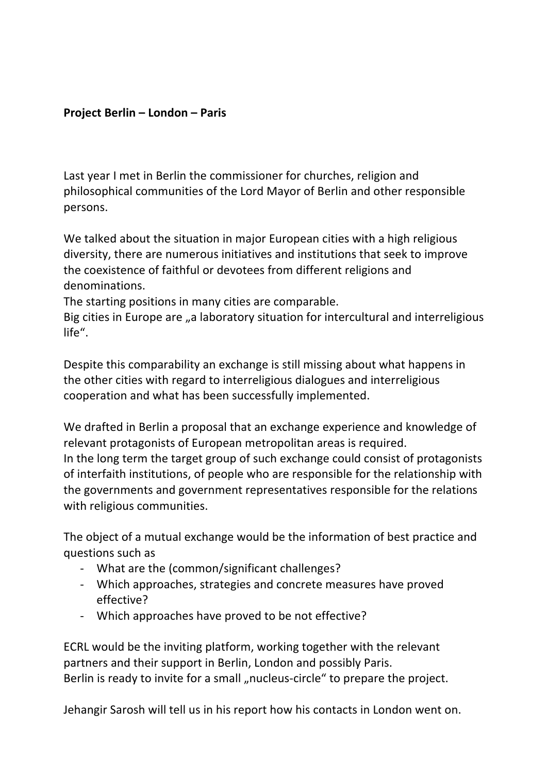### **Project Berlin – London – Paris**

Last year I met in Berlin the commissioner for churches, religion and philosophical communities of the Lord Mayor of Berlin and other responsible persons.

We talked about the situation in major European cities with a high religious diversity, there are numerous initiatives and institutions that seek to improve the coexistence of faithful or devotees from different religions and denominations.

The starting positions in many cities are comparable.

Big cities in Europe are "a laboratory situation for intercultural and interreligious life".

Despite this comparability an exchange is still missing about what happens in the other cities with regard to interreligious dialogues and interreligious cooperation and what has been successfully implemented.

We drafted in Berlin a proposal that an exchange experience and knowledge of relevant protagonists of European metropolitan areas is required. In the long term the target group of such exchange could consist of protagonists of interfaith institutions, of people who are responsible for the relationship with the governments and government representatives responsible for the relations with religious communities.

The object of a mutual exchange would be the information of best practice and questions such as

- What are the (common/significant challenges?
- Which approaches, strategies and concrete measures have proved effective?
- Which approaches have proved to be not effective?

ECRL would be the inviting platform, working together with the relevant partners and their support in Berlin, London and possibly Paris. Berlin is ready to invite for a small "nucleus-circle" to prepare the project.

Jehangir Sarosh will tell us in his report how his contacts in London went on.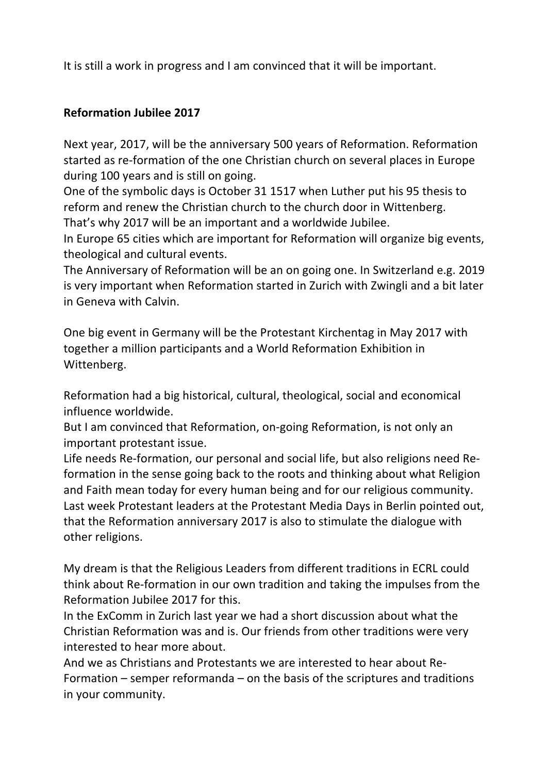It is still a work in progress and I am convinced that it will be important.

## **Reformation Jubilee 2017**

Next year, 2017, will be the anniversary 500 years of Reformation. Reformation started as re-formation of the one Christian church on several places in Europe during 100 years and is still on going.

One of the symbolic days is October 31 1517 when Luther put his 95 thesis to reform and renew the Christian church to the church door in Wittenberg. That's why 2017 will be an important and a worldwide Jubilee.

In Europe 65 cities which are important for Reformation will organize big events, theological and cultural events.

The Anniversary of Reformation will be an on going one. In Switzerland e.g. 2019 is very important when Reformation started in Zurich with Zwingli and a bit later in Geneva with Calvin.

One big event in Germany will be the Protestant Kirchentag in May 2017 with together a million participants and a World Reformation Exhibition in Wittenberg.

Reformation had a big historical, cultural, theological, social and economical influence worldwide.

But I am convinced that Reformation, on-going Reformation, is not only an important protestant issue.

Life needs Re-formation, our personal and social life, but also religions need Reformation in the sense going back to the roots and thinking about what Religion and Faith mean today for every human being and for our religious community. Last week Protestant leaders at the Protestant Media Days in Berlin pointed out, that the Reformation anniversary 2017 is also to stimulate the dialogue with other religions.

My dream is that the Religious Leaders from different traditions in ECRL could think about Re-formation in our own tradition and taking the impulses from the Reformation Jubilee 2017 for this.

In the ExComm in Zurich last year we had a short discussion about what the Christian Reformation was and is. Our friends from other traditions were very interested to hear more about.

And we as Christians and Protestants we are interested to hear about Re-Formation  $-$  semper reformanda  $-$  on the basis of the scriptures and traditions in your community.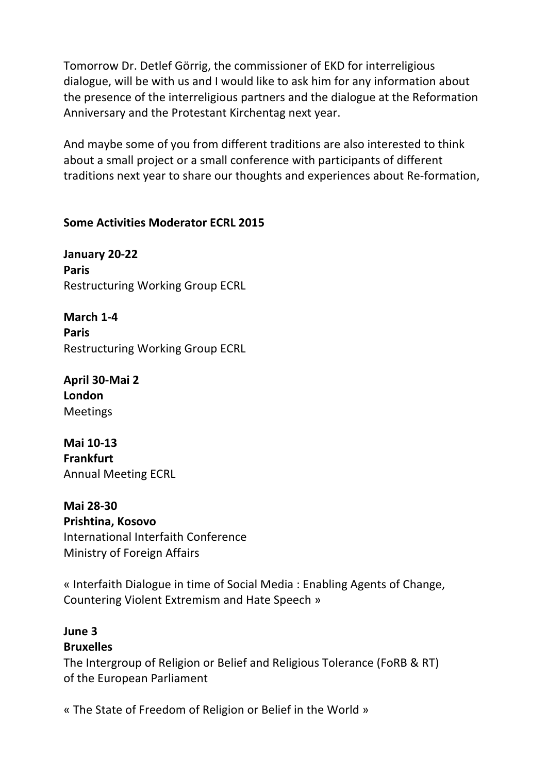Tomorrow Dr. Detlef Görrig, the commissioner of EKD for interreligious dialogue, will be with us and I would like to ask him for any information about the presence of the interreligious partners and the dialogue at the Reformation Anniversary and the Protestant Kirchentag next year.

And maybe some of you from different traditions are also interested to think about a small project or a small conference with participants of different traditions next year to share our thoughts and experiences about Re-formation,

#### **Some Activities Moderator ECRL 2015**

**January 20-22 Paris** Restructuring Working Group ECRL

**March 1-4 Paris** Restructuring Working Group ECRL

**April 30-Mai 2 London** Meetings

**Mai 10-13 Frankfurt** Annual Meeting ECRL

**Mai 28-30 Prishtina, Kosovo** International Interfaith Conference Ministry of Foreign Affairs

« Interfaith Dialogue in time of Social Media : Enabling Agents of Change, Countering Violent Extremism and Hate Speech »

#### **June 3 Bruxelles**

The Intergroup of Religion or Belief and Religious Tolerance (FoRB & RT) of the European Parliament

« The State of Freedom of Religion or Belief in the World »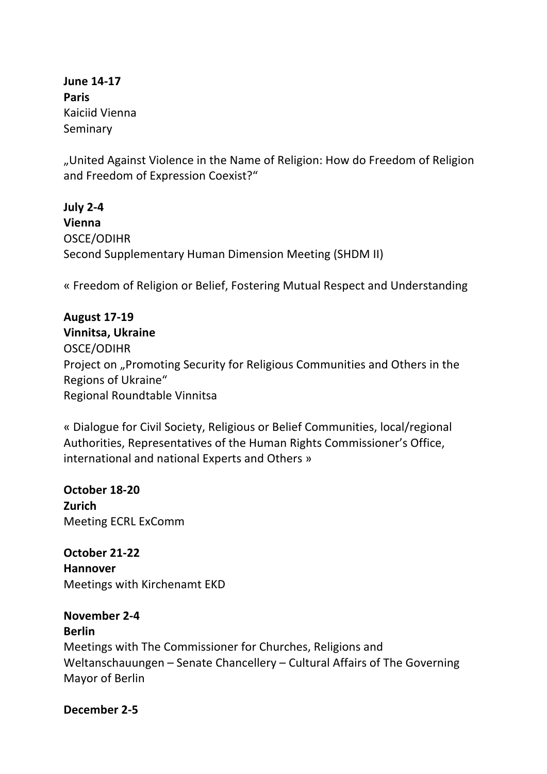**June 14-17 Paris** Kaiciid Vienna Seminary

"United Against Violence in the Name of Religion: How do Freedom of Religion and Freedom of Expression Coexist?"

**July 2-4 Vienna** OSCE/ODIHR Second Supplementary Human Dimension Meeting (SHDM II)

« Freedom of Religion or Belief, Fostering Mutual Respect and Understanding

**August 17-19 Vinnitsa, Ukraine** OSCE/ODIHR Project on "Promoting Security for Religious Communities and Others in the Regions of Ukraine" Regional Roundtable Vinnitsa

« Dialogue for Civil Society, Religious or Belief Communities, local/regional Authorities, Representatives of the Human Rights Commissioner's Office, international and national Experts and Others »

**October 18-20 Zurich** Meeting ECRL ExComm

**October 21-22 Hannover** Meetings with Kirchenamt EKD

**November 2-4 Berlin** Meetings with The Commissioner for Churches, Religions and Weltanschauungen - Senate Chancellery - Cultural Affairs of The Governing Mayor of Berlin

**December 2-5**